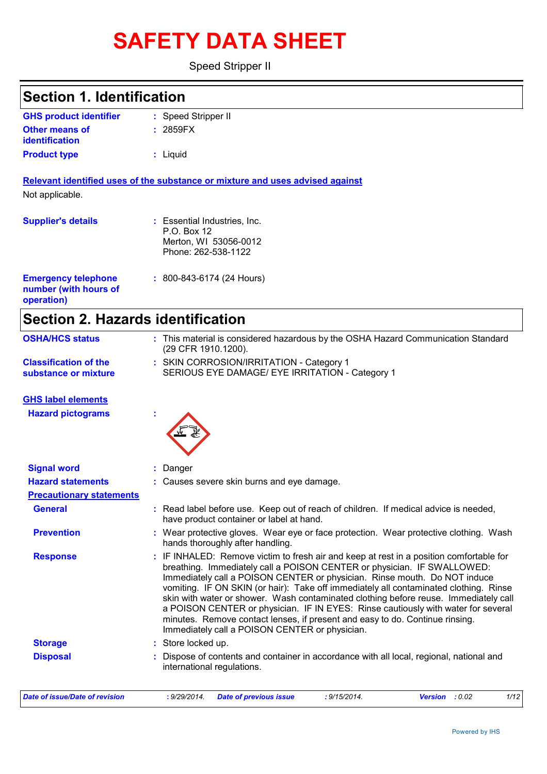# **SAFETY DATA SHEET**

Speed Stripper II

| <b>Section 1. Identification</b>               |                                                                                                                                                                                                                                                                                                                                                                                                                                                                                                                                                                                                                                                         |
|------------------------------------------------|---------------------------------------------------------------------------------------------------------------------------------------------------------------------------------------------------------------------------------------------------------------------------------------------------------------------------------------------------------------------------------------------------------------------------------------------------------------------------------------------------------------------------------------------------------------------------------------------------------------------------------------------------------|
|                                                |                                                                                                                                                                                                                                                                                                                                                                                                                                                                                                                                                                                                                                                         |
| <b>GHS product identifier</b>                  | : Speed Stripper II                                                                                                                                                                                                                                                                                                                                                                                                                                                                                                                                                                                                                                     |
| <b>Other means of</b><br><b>identification</b> | : 2859FX                                                                                                                                                                                                                                                                                                                                                                                                                                                                                                                                                                                                                                                |
| <b>Product type</b>                            | : Liquid                                                                                                                                                                                                                                                                                                                                                                                                                                                                                                                                                                                                                                                |
|                                                |                                                                                                                                                                                                                                                                                                                                                                                                                                                                                                                                                                                                                                                         |
|                                                | Relevant identified uses of the substance or mixture and uses advised against                                                                                                                                                                                                                                                                                                                                                                                                                                                                                                                                                                           |
| Not applicable.                                |                                                                                                                                                                                                                                                                                                                                                                                                                                                                                                                                                                                                                                                         |
| <b>Supplier's details</b>                      | : Essential Industries, Inc.                                                                                                                                                                                                                                                                                                                                                                                                                                                                                                                                                                                                                            |
|                                                | P.O. Box 12                                                                                                                                                                                                                                                                                                                                                                                                                                                                                                                                                                                                                                             |
|                                                | Merton, WI 53056-0012                                                                                                                                                                                                                                                                                                                                                                                                                                                                                                                                                                                                                                   |
|                                                | Phone: 262-538-1122                                                                                                                                                                                                                                                                                                                                                                                                                                                                                                                                                                                                                                     |
| <b>Emergency telephone</b>                     | $: 800 - 843 - 6174 (24$ Hours)                                                                                                                                                                                                                                                                                                                                                                                                                                                                                                                                                                                                                         |
| number (with hours of                          |                                                                                                                                                                                                                                                                                                                                                                                                                                                                                                                                                                                                                                                         |
| operation)                                     |                                                                                                                                                                                                                                                                                                                                                                                                                                                                                                                                                                                                                                                         |
| <b>Section 2. Hazards identification</b>       |                                                                                                                                                                                                                                                                                                                                                                                                                                                                                                                                                                                                                                                         |
| <b>OSHA/HCS status</b>                         | : This material is considered hazardous by the OSHA Hazard Communication Standard<br>(29 CFR 1910.1200).                                                                                                                                                                                                                                                                                                                                                                                                                                                                                                                                                |
| <b>Classification of the</b>                   | : SKIN CORROSION/IRRITATION - Category 1                                                                                                                                                                                                                                                                                                                                                                                                                                                                                                                                                                                                                |
| substance or mixture                           | SERIOUS EYE DAMAGE/ EYE IRRITATION - Category 1                                                                                                                                                                                                                                                                                                                                                                                                                                                                                                                                                                                                         |
| <b>GHS label elements</b>                      |                                                                                                                                                                                                                                                                                                                                                                                                                                                                                                                                                                                                                                                         |
| <b>Hazard pictograms</b>                       |                                                                                                                                                                                                                                                                                                                                                                                                                                                                                                                                                                                                                                                         |
| <b>Signal word</b>                             | Danger                                                                                                                                                                                                                                                                                                                                                                                                                                                                                                                                                                                                                                                  |
| <b>Hazard statements</b>                       | : Causes severe skin burns and eye damage.                                                                                                                                                                                                                                                                                                                                                                                                                                                                                                                                                                                                              |
| <b>Precautionary statements</b>                |                                                                                                                                                                                                                                                                                                                                                                                                                                                                                                                                                                                                                                                         |
| <b>General</b>                                 | : Read label before use. Keep out of reach of children. If medical advice is needed,<br>have product container or label at hand.                                                                                                                                                                                                                                                                                                                                                                                                                                                                                                                        |
| <b>Prevention</b>                              | : Wear protective gloves. Wear eye or face protection. Wear protective clothing. Wash<br>hands thoroughly after handling.                                                                                                                                                                                                                                                                                                                                                                                                                                                                                                                               |
| <b>Response</b>                                | : IF INHALED: Remove victim to fresh air and keep at rest in a position comfortable for<br>breathing. Immediately call a POISON CENTER or physician. IF SWALLOWED:<br>Immediately call a POISON CENTER or physician. Rinse mouth. Do NOT induce<br>vomiting. IF ON SKIN (or hair): Take off immediately all contaminated clothing. Rinse<br>skin with water or shower. Wash contaminated clothing before reuse. Immediately call<br>a POISON CENTER or physician. IF IN EYES: Rinse cautiously with water for several<br>minutes. Remove contact lenses, if present and easy to do. Continue rinsing.<br>Immediately call a POISON CENTER or physician. |
| <b>Storage</b>                                 | : Store locked up.                                                                                                                                                                                                                                                                                                                                                                                                                                                                                                                                                                                                                                      |
| <b>Disposal</b>                                | : Dispose of contents and container in accordance with all local, regional, national and                                                                                                                                                                                                                                                                                                                                                                                                                                                                                                                                                                |
|                                                |                                                                                                                                                                                                                                                                                                                                                                                                                                                                                                                                                                                                                                                         |

| Date of issue/Date of revision | 9/29/2014. | <b>Date of previous issue</b> | 9/15/2014 | : 0.02<br>Version | 1/12 |
|--------------------------------|------------|-------------------------------|-----------|-------------------|------|
|                                |            |                               |           |                   |      |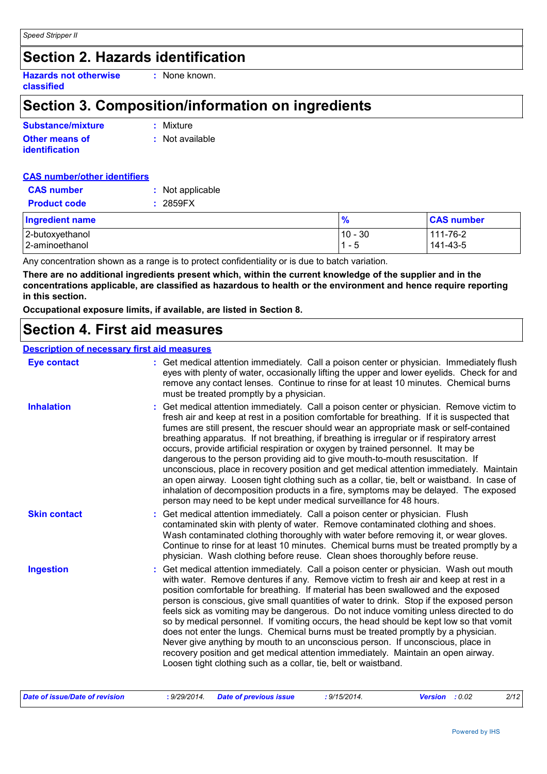### **Section 2. Hazards identification**

**Hazards not otherwise classified :** None known.

### **Section 3. Composition/information on ingredients**

| Substance/mixture     | : Mixture         |
|-----------------------|-------------------|
| <b>Other means of</b> | $:$ Not available |
| <b>identification</b> |                   |

| <b>CAS number/other identifiers</b> |                  |
|-------------------------------------|------------------|
| <b>CAS</b> number                   | : Not applicable |
| <b>Product code</b>                 | : 2859FX         |
| <b>Ingredient name</b>              |                  |

| <b>Ingredient name</b> | $\frac{9}{6}$         | <b>CAS number</b> |
|------------------------|-----------------------|-------------------|
| 2-butoxyethanol        | 10 - 30               | 111-76-2          |
| 2-aminoethanol         | $\overline{1}$<br>- 5 | 141-43-5          |

Any concentration shown as a range is to protect confidentiality or is due to batch variation.

**There are no additional ingredients present which, within the current knowledge of the supplier and in the concentrations applicable, are classified as hazardous to health or the environment and hence require reporting in this section.**

**Occupational exposure limits, if available, are listed in Section 8.**

### **Section 4. First aid measures**

#### **Description of necessary first aid measures**

| <b>Eye contact</b>  | : Get medical attention immediately. Call a poison center or physician. Immediately flush<br>eyes with plenty of water, occasionally lifting the upper and lower eyelids. Check for and<br>remove any contact lenses. Continue to rinse for at least 10 minutes. Chemical burns<br>must be treated promptly by a physician.                                                                                                                                                                                                                                                                                                                                                                                                                                                                                                                                                                                  |
|---------------------|--------------------------------------------------------------------------------------------------------------------------------------------------------------------------------------------------------------------------------------------------------------------------------------------------------------------------------------------------------------------------------------------------------------------------------------------------------------------------------------------------------------------------------------------------------------------------------------------------------------------------------------------------------------------------------------------------------------------------------------------------------------------------------------------------------------------------------------------------------------------------------------------------------------|
| <b>Inhalation</b>   | : Get medical attention immediately. Call a poison center or physician. Remove victim to<br>fresh air and keep at rest in a position comfortable for breathing. If it is suspected that<br>fumes are still present, the rescuer should wear an appropriate mask or self-contained<br>breathing apparatus. If not breathing, if breathing is irregular or if respiratory arrest<br>occurs, provide artificial respiration or oxygen by trained personnel. It may be<br>dangerous to the person providing aid to give mouth-to-mouth resuscitation. If<br>unconscious, place in recovery position and get medical attention immediately. Maintain<br>an open airway. Loosen tight clothing such as a collar, tie, belt or waistband. In case of<br>inhalation of decomposition products in a fire, symptoms may be delayed. The exposed<br>person may need to be kept under medical surveillance for 48 hours. |
| <b>Skin contact</b> | : Get medical attention immediately. Call a poison center or physician. Flush<br>contaminated skin with plenty of water. Remove contaminated clothing and shoes.<br>Wash contaminated clothing thoroughly with water before removing it, or wear gloves.<br>Continue to rinse for at least 10 minutes. Chemical burns must be treated promptly by a<br>physician. Wash clothing before reuse. Clean shoes thoroughly before reuse.                                                                                                                                                                                                                                                                                                                                                                                                                                                                           |
| <b>Ingestion</b>    | : Get medical attention immediately. Call a poison center or physician. Wash out mouth<br>with water. Remove dentures if any. Remove victim to fresh air and keep at rest in a<br>position comfortable for breathing. If material has been swallowed and the exposed<br>person is conscious, give small quantities of water to drink. Stop if the exposed person<br>feels sick as vomiting may be dangerous. Do not induce vomiting unless directed to do<br>so by medical personnel. If vomiting occurs, the head should be kept low so that vomit<br>does not enter the lungs. Chemical burns must be treated promptly by a physician.<br>Never give anything by mouth to an unconscious person. If unconscious, place in<br>recovery position and get medical attention immediately. Maintain an open airway.<br>Loosen tight clothing such as a collar, tie, belt or waistband.                          |

| Date of issue/Date of revision |  | : 9/29/2014 Date of previous issue | : 9/15/2014. | <b>Version</b> : 0.02 |  | 2/12 |
|--------------------------------|--|------------------------------------|--------------|-----------------------|--|------|
|--------------------------------|--|------------------------------------|--------------|-----------------------|--|------|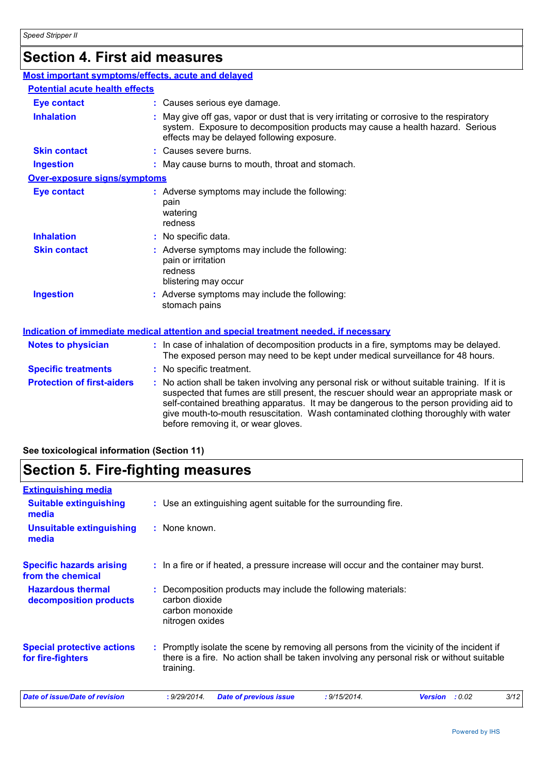## **Section 4. First aid measures**

| Most important symptoms/effects, acute and delayed |                                                                                                                                                                                                                                                                                                                                                                                                                 |
|----------------------------------------------------|-----------------------------------------------------------------------------------------------------------------------------------------------------------------------------------------------------------------------------------------------------------------------------------------------------------------------------------------------------------------------------------------------------------------|
| <b>Potential acute health effects</b>              |                                                                                                                                                                                                                                                                                                                                                                                                                 |
| <b>Eye contact</b>                                 | : Causes serious eye damage.                                                                                                                                                                                                                                                                                                                                                                                    |
| <b>Inhalation</b>                                  | : May give off gas, vapor or dust that is very irritating or corrosive to the respiratory<br>system. Exposure to decomposition products may cause a health hazard. Serious<br>effects may be delayed following exposure.                                                                                                                                                                                        |
| <b>Skin contact</b>                                | : Causes severe burns.                                                                                                                                                                                                                                                                                                                                                                                          |
| <b>Ingestion</b>                                   | : May cause burns to mouth, throat and stomach.                                                                                                                                                                                                                                                                                                                                                                 |
| <b>Over-exposure signs/symptoms</b>                |                                                                                                                                                                                                                                                                                                                                                                                                                 |
| <b>Eye contact</b>                                 | : Adverse symptoms may include the following:<br>pain<br>watering<br>redness                                                                                                                                                                                                                                                                                                                                    |
| <b>Inhalation</b>                                  | : No specific data.                                                                                                                                                                                                                                                                                                                                                                                             |
| <b>Skin contact</b>                                | : Adverse symptoms may include the following:<br>pain or irritation<br>redness<br>blistering may occur                                                                                                                                                                                                                                                                                                          |
| <b>Ingestion</b>                                   | : Adverse symptoms may include the following:<br>stomach pains                                                                                                                                                                                                                                                                                                                                                  |
|                                                    | <b>Indication of immediate medical attention and special treatment needed, if necessary</b>                                                                                                                                                                                                                                                                                                                     |
| <b>Notes to physician</b>                          | : In case of inhalation of decomposition products in a fire, symptoms may be delayed.<br>The exposed person may need to be kept under medical surveillance for 48 hours.                                                                                                                                                                                                                                        |
| <b>Specific treatments</b>                         | : No specific treatment.                                                                                                                                                                                                                                                                                                                                                                                        |
| <b>Protection of first-aiders</b>                  | : No action shall be taken involving any personal risk or without suitable training. If it is<br>suspected that fumes are still present, the rescuer should wear an appropriate mask or<br>self-contained breathing apparatus. It may be dangerous to the person providing aid to<br>give mouth-to-mouth resuscitation. Wash contaminated clothing thoroughly with water<br>before removing it, or wear gloves. |

### **See toxicological information (Section 11)**

### **Section 5. Fire-fighting measures**

| <b>Extinguishing media</b>                             |                                                                                                                                                                                                     |
|--------------------------------------------------------|-----------------------------------------------------------------------------------------------------------------------------------------------------------------------------------------------------|
| <b>Suitable extinguishing</b><br>media                 | : Use an extinguishing agent suitable for the surrounding fire.                                                                                                                                     |
| <b>Unsuitable extinguishing</b><br>media               | : None known.                                                                                                                                                                                       |
| <b>Specific hazards arising</b><br>from the chemical   | : In a fire or if heated, a pressure increase will occur and the container may burst.                                                                                                               |
| <b>Hazardous thermal</b><br>decomposition products     | : Decomposition products may include the following materials:<br>carbon dioxide<br>carbon monoxide<br>nitrogen oxides                                                                               |
| <b>Special protective actions</b><br>for fire-fighters | : Promptly isolate the scene by removing all persons from the vicinity of the incident if<br>there is a fire. No action shall be taken involving any personal risk or without suitable<br>training. |
| Date of issue/Date of revision                         | 3/12<br>: 9/29/2014.<br><b>Date of previous issue</b><br>: 9/15/2014.<br>: 0.02<br><b>Version</b>                                                                                                   |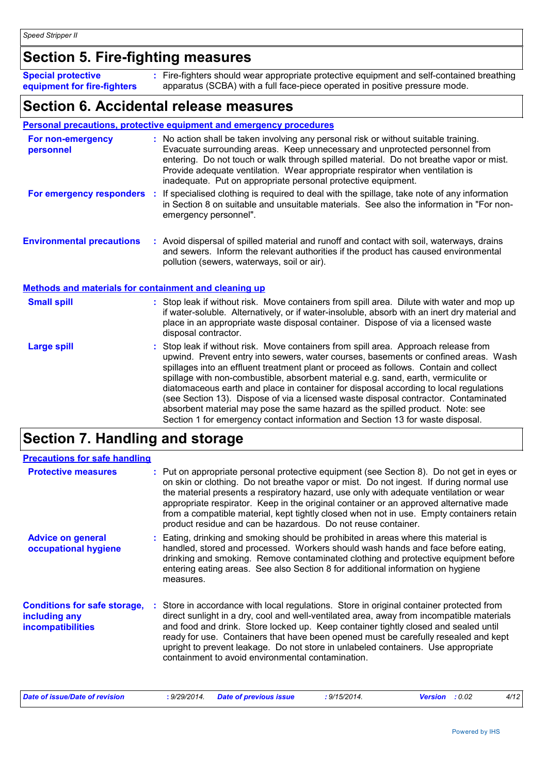### **Section 5. Fire-fighting measures**

| <b>Special protective</b>   | : Fire-fighters should wear appropriate protective equipment and self-contained breathing |
|-----------------------------|-------------------------------------------------------------------------------------------|
| equipment for fire-fighters | apparatus (SCBA) with a full face-piece operated in positive pressure mode.               |

### **Section 6. Accidental release measures**

#### **Personal precautions, protective equipment and emergency procedures**

| For non-emergency<br>personnel   | : No action shall be taken involving any personal risk or without suitable training.<br>Evacuate surrounding areas. Keep unnecessary and unprotected personnel from<br>entering. Do not touch or walk through spilled material. Do not breathe vapor or mist.<br>Provide adequate ventilation. Wear appropriate respirator when ventilation is<br>inadequate. Put on appropriate personal protective equipment. |
|----------------------------------|-----------------------------------------------------------------------------------------------------------------------------------------------------------------------------------------------------------------------------------------------------------------------------------------------------------------------------------------------------------------------------------------------------------------|
| For emergency responders         | If specialised clothing is required to deal with the spillage, take note of any information<br>in Section 8 on suitable and unsuitable materials. See also the information in "For non-<br>emergency personnel".                                                                                                                                                                                                |
| <b>Environmental precautions</b> | : Avoid dispersal of spilled material and runoff and contact with soil, waterways, drains<br>and sewers. Inform the relevant authorities if the product has caused environmental<br>pollution (sewers, waterways, soil or air).                                                                                                                                                                                 |

#### **Methods and materials for containment and cleaning up**

| <b>Small spill</b> | : Stop leak if without risk. Move containers from spill area. Dilute with water and mop up<br>if water-soluble. Alternatively, or if water-insoluble, absorb with an inert dry material and<br>place in an appropriate waste disposal container. Dispose of via a licensed waste<br>disposal contractor.                                                                                                                                                                                                                                                                                                                                                                                                     |
|--------------------|--------------------------------------------------------------------------------------------------------------------------------------------------------------------------------------------------------------------------------------------------------------------------------------------------------------------------------------------------------------------------------------------------------------------------------------------------------------------------------------------------------------------------------------------------------------------------------------------------------------------------------------------------------------------------------------------------------------|
| Large spill        | : Stop leak if without risk. Move containers from spill area. Approach release from<br>upwind. Prevent entry into sewers, water courses, basements or confined areas. Wash<br>spillages into an effluent treatment plant or proceed as follows. Contain and collect<br>spillage with non-combustible, absorbent material e.g. sand, earth, vermiculite or<br>diatomaceous earth and place in container for disposal according to local regulations<br>(see Section 13). Dispose of via a licensed waste disposal contractor. Contaminated<br>absorbent material may pose the same hazard as the spilled product. Note: see<br>Section 1 for emergency contact information and Section 13 for waste disposal. |

### **Section 7. Handling and storage**

| <b>Precautions for safe handling</b>                                             |                                                                                                                                                                                                                                                                                                                                                                                                                                                                                                                                      |
|----------------------------------------------------------------------------------|--------------------------------------------------------------------------------------------------------------------------------------------------------------------------------------------------------------------------------------------------------------------------------------------------------------------------------------------------------------------------------------------------------------------------------------------------------------------------------------------------------------------------------------|
| <b>Protective measures</b>                                                       | : Put on appropriate personal protective equipment (see Section 8). Do not get in eyes or<br>on skin or clothing. Do not breathe vapor or mist. Do not ingest. If during normal use<br>the material presents a respiratory hazard, use only with adequate ventilation or wear<br>appropriate respirator. Keep in the original container or an approved alternative made<br>from a compatible material, kept tightly closed when not in use. Empty containers retain<br>product residue and can be hazardous. Do not reuse container. |
| <b>Advice on general</b><br>occupational hygiene                                 | : Eating, drinking and smoking should be prohibited in areas where this material is<br>handled, stored and processed. Workers should wash hands and face before eating,<br>drinking and smoking. Remove contaminated clothing and protective equipment before<br>entering eating areas. See also Section 8 for additional information on hygiene<br>measures.                                                                                                                                                                        |
| <b>Conditions for safe storage,</b><br>including any<br><b>incompatibilities</b> | : Store in accordance with local regulations. Store in original container protected from<br>direct sunlight in a dry, cool and well-ventilated area, away from incompatible materials<br>and food and drink. Store locked up. Keep container tightly closed and sealed until<br>ready for use. Containers that have been opened must be carefully resealed and kept<br>upright to prevent leakage. Do not store in unlabeled containers. Use appropriate<br>containment to avoid environmental contamination.                        |

| Date of issue/Date of revision |  | : 9/29/2014. Date of previous issue | : 9/15/2014. | <b>Version</b> : 0.02 | 4/12 |
|--------------------------------|--|-------------------------------------|--------------|-----------------------|------|
|--------------------------------|--|-------------------------------------|--------------|-----------------------|------|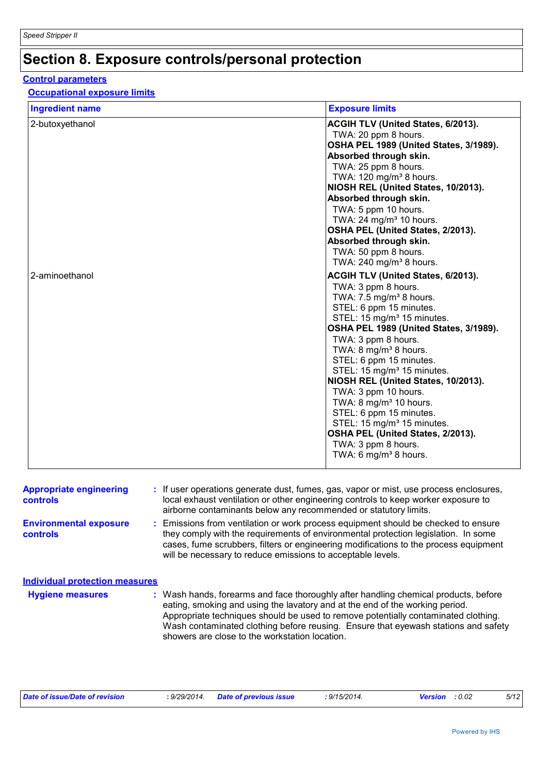## **Section 8. Exposure controls/personal protection**

#### **Control parameters**

### **Occupational exposure limits**

| <b>Ingredient name</b> | <b>Exposure limits</b>                                            |
|------------------------|-------------------------------------------------------------------|
| 2-butoxyethanol        | ACGIH TLV (United States, 6/2013).                                |
|                        | TWA: 20 ppm 8 hours.                                              |
|                        | OSHA PEL 1989 (United States, 3/1989).                            |
|                        | Absorbed through skin.                                            |
|                        | TWA: 25 ppm 8 hours.<br>TWA: 120 mg/m <sup>3</sup> 8 hours.       |
|                        | NIOSH REL (United States, 10/2013).                               |
|                        | Absorbed through skin.                                            |
|                        | TWA: 5 ppm 10 hours.                                              |
|                        | TWA: 24 mg/m <sup>3</sup> 10 hours.                               |
|                        | OSHA PEL (United States, 2/2013).                                 |
|                        | Absorbed through skin.                                            |
|                        | TWA: 50 ppm 8 hours.                                              |
|                        | TWA: 240 mg/m <sup>3</sup> 8 hours.                               |
| 2-aminoethanol         | <b>ACGIH TLV (United States, 6/2013).</b>                         |
|                        | TWA: 3 ppm 8 hours.                                               |
|                        | TWA: $7.5 \text{ mg/m}^3$ 8 hours.                                |
|                        | STEL: 6 ppm 15 minutes.<br>STEL: 15 mg/m <sup>3</sup> 15 minutes. |
|                        | OSHA PEL 1989 (United States, 3/1989).                            |
|                        | TWA: 3 ppm 8 hours.                                               |
|                        | TWA: 8 mg/m <sup>3</sup> 8 hours.                                 |
|                        | STEL: 6 ppm 15 minutes.                                           |
|                        | STEL: 15 mg/m <sup>3</sup> 15 minutes.                            |
|                        | NIOSH REL (United States, 10/2013).                               |
|                        | TWA: 3 ppm 10 hours.                                              |
|                        | TWA: 8 mg/m <sup>3</sup> 10 hours.                                |
|                        | STEL: 6 ppm 15 minutes.<br>STEL: 15 mg/m <sup>3</sup> 15 minutes. |
|                        | OSHA PEL (United States, 2/2013).                                 |
|                        | TWA: 3 ppm 8 hours.                                               |
|                        | TWA: 6 mg/m <sup>3</sup> 8 hours.                                 |
|                        |                                                                   |

| <b>Appropriate engineering</b><br><b>controls</b> | : If user operations generate dust, fumes, gas, vapor or mist, use process enclosures,<br>local exhaust ventilation or other engineering controls to keep worker exposure to<br>airborne contaminants below any recommended or statutory limits.                                                                                                                                                  |
|---------------------------------------------------|---------------------------------------------------------------------------------------------------------------------------------------------------------------------------------------------------------------------------------------------------------------------------------------------------------------------------------------------------------------------------------------------------|
| <b>Environmental exposure</b><br>controls         | : Emissions from ventilation or work process equipment should be checked to ensure<br>they comply with the requirements of environmental protection legislation. In some<br>cases, fume scrubbers, filters or engineering modifications to the process equipment<br>will be necessary to reduce emissions to acceptable levels.                                                                   |
| <b>Individual protection measures</b>             |                                                                                                                                                                                                                                                                                                                                                                                                   |
| <b>Hygiene measures</b>                           | : Wash hands, forearms and face thoroughly after handling chemical products, before<br>eating, smoking and using the lavatory and at the end of the working period.<br>Appropriate techniques should be used to remove potentially contaminated clothing.<br>Wash contaminated clothing before reusing. Ensure that eyewash stations and safety<br>showers are close to the workstation location. |

|  | Date of issue/Date of revision | : 9/29/2014 Date of previous issue | : 9/15/2014. | <b>Version</b> : 0.02 | 5/12 |
|--|--------------------------------|------------------------------------|--------------|-----------------------|------|
|--|--------------------------------|------------------------------------|--------------|-----------------------|------|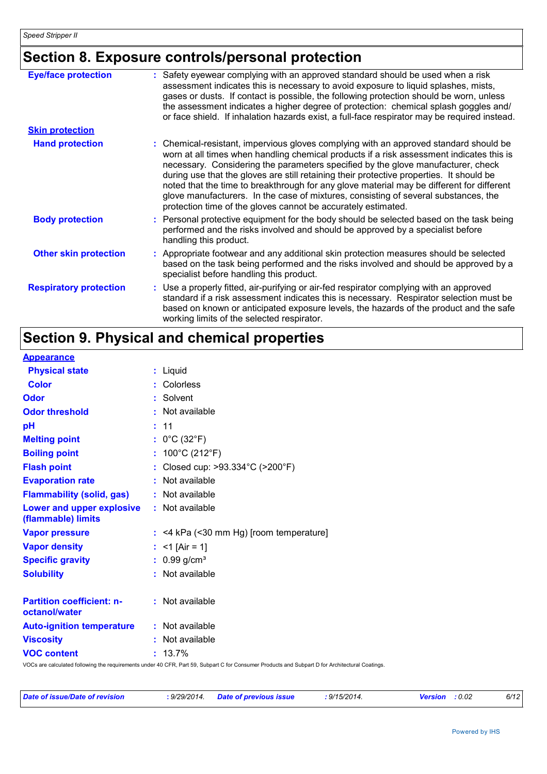### **Section 8. Exposure controls/personal protection**

| <b>Eye/face protection</b>    | : Safety eyewear complying with an approved standard should be used when a risk<br>assessment indicates this is necessary to avoid exposure to liquid splashes, mists,<br>gases or dusts. If contact is possible, the following protection should be worn, unless<br>the assessment indicates a higher degree of protection: chemical splash goggles and/<br>or face shield. If inhalation hazards exist, a full-face respirator may be required instead.                                                                                                                                                              |
|-------------------------------|------------------------------------------------------------------------------------------------------------------------------------------------------------------------------------------------------------------------------------------------------------------------------------------------------------------------------------------------------------------------------------------------------------------------------------------------------------------------------------------------------------------------------------------------------------------------------------------------------------------------|
| <b>Skin protection</b>        |                                                                                                                                                                                                                                                                                                                                                                                                                                                                                                                                                                                                                        |
| <b>Hand protection</b>        | : Chemical-resistant, impervious gloves complying with an approved standard should be<br>worn at all times when handling chemical products if a risk assessment indicates this is<br>necessary. Considering the parameters specified by the glove manufacturer, check<br>during use that the gloves are still retaining their protective properties. It should be<br>noted that the time to breakthrough for any glove material may be different for different<br>glove manufacturers. In the case of mixtures, consisting of several substances, the<br>protection time of the gloves cannot be accurately estimated. |
| <b>Body protection</b>        | : Personal protective equipment for the body should be selected based on the task being<br>performed and the risks involved and should be approved by a specialist before<br>handling this product.                                                                                                                                                                                                                                                                                                                                                                                                                    |
| <b>Other skin protection</b>  | : Appropriate footwear and any additional skin protection measures should be selected<br>based on the task being performed and the risks involved and should be approved by a<br>specialist before handling this product.                                                                                                                                                                                                                                                                                                                                                                                              |
| <b>Respiratory protection</b> | : Use a properly fitted, air-purifying or air-fed respirator complying with an approved<br>standard if a risk assessment indicates this is necessary. Respirator selection must be<br>based on known or anticipated exposure levels, the hazards of the product and the safe<br>working limits of the selected respirator.                                                                                                                                                                                                                                                                                             |

## **Section 9. Physical and chemical properties**

#### **Appearance**

| <b>Physical state</b>                             | : Liquid                                                                                                                                        |
|---------------------------------------------------|-------------------------------------------------------------------------------------------------------------------------------------------------|
| <b>Color</b>                                      | : Colorless                                                                                                                                     |
| <b>Odor</b>                                       | : Solvent                                                                                                                                       |
| <b>Odor threshold</b>                             | : Not available                                                                                                                                 |
| pH                                                | : 11                                                                                                                                            |
| <b>Melting point</b>                              | : $0^{\circ}$ C (32 $^{\circ}$ F)                                                                                                               |
| <b>Boiling point</b>                              | : $100^{\circ}$ C (212 $^{\circ}$ F)                                                                                                            |
| <b>Flash point</b>                                | : Closed cup: >93.334°C (>200°F)                                                                                                                |
| <b>Evaporation rate</b>                           | : Not available                                                                                                                                 |
| <b>Flammability (solid, gas)</b>                  | : Not available                                                                                                                                 |
| Lower and upper explosive<br>(flammable) limits   | : Not available                                                                                                                                 |
| <b>Vapor pressure</b>                             | $:$ <4 kPa (<30 mm Hg) [room temperature]                                                                                                       |
| <b>Vapor density</b>                              | : $<$ 1 [Air = 1]                                                                                                                               |
| <b>Specific gravity</b>                           | $: 0.99$ g/cm <sup>3</sup>                                                                                                                      |
| <b>Solubility</b>                                 | : Not available                                                                                                                                 |
| <b>Partition coefficient: n-</b><br>octanol/water | : Not available                                                                                                                                 |
| <b>Auto-ignition temperature</b>                  | : Not available                                                                                                                                 |
| <b>Viscosity</b>                                  | : Not available                                                                                                                                 |
| <b>VOC content</b>                                | $: 13.7\%$                                                                                                                                      |
|                                                   | VOCs are calculated following the requirements under 40 CFR, Part 59, Subpart C for Consumer Products and Subpart D for Architectural Coatings. |

| Date of issue/Date of revision | 9/29/2014. | <b>Date of previous issue</b> | .9/15/2014<br>the contract of the contract of the contract of the contract of the contract of the contract of the contract of | : 0.02<br>Version | 6/12 |
|--------------------------------|------------|-------------------------------|-------------------------------------------------------------------------------------------------------------------------------|-------------------|------|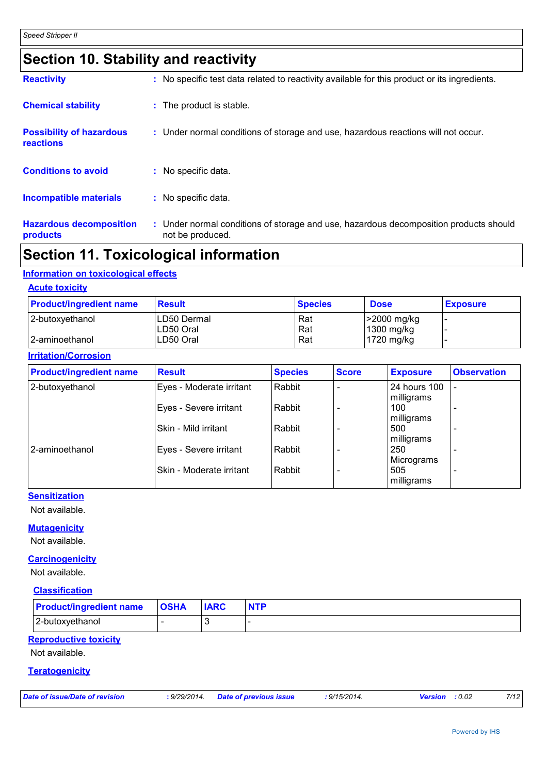### **Section 10. Stability and reactivity**

| <b>Hazardous decomposition</b><br>products   | : Under normal conditions of storage and use, hazardous decomposition products should<br>not be produced. |
|----------------------------------------------|-----------------------------------------------------------------------------------------------------------|
| <b>Incompatible materials</b>                | : No specific data.                                                                                       |
| <b>Conditions to avoid</b>                   | : No specific data.                                                                                       |
| <b>Possibility of hazardous</b><br>reactions | : Under normal conditions of storage and use, hazardous reactions will not occur.                         |
| <b>Chemical stability</b>                    | : The product is stable.                                                                                  |
| <b>Reactivity</b>                            | : No specific test data related to reactivity available for this product or its ingredients.              |

### **Section 11. Toxicological information**

#### **Information on toxicological effects**

**Acute toxicity**

| <b>Product/ingredient name</b> | <b>Result</b> | <b>Species</b> | <b>Dose</b> | <b>Exposure</b> |
|--------------------------------|---------------|----------------|-------------|-----------------|
| 2-butoxyethanol                | ILD50 Dermal  | Rat            | >2000 mg/kg |                 |
|                                | ILD50 Oral    | Rat            | 1300 mg/kg  |                 |
| 2-aminoethanol                 | LD50 Oral     | Rat            | 1720 mg/kg  |                 |

#### **Irritation/Corrosion**

| <b>Product/ingredient name</b> | <b>Result</b>            | <b>Species</b> | <b>Score</b> | <b>Exposure</b>            | <b>Observation</b>       |
|--------------------------------|--------------------------|----------------|--------------|----------------------------|--------------------------|
| 2-butoxyethanol                | Eyes - Moderate irritant | Rabbit         |              | 24 hours 100<br>milligrams |                          |
|                                | Eyes - Severe irritant   | Rabbit         |              | 100<br>milligrams          |                          |
|                                | Skin - Mild irritant     | Rabbit         |              | 500<br>milligrams          |                          |
| 2-aminoethanol                 | Eyes - Severe irritant   | Rabbit         |              | 250<br>Micrograms          |                          |
|                                | Skin - Moderate irritant | Rabbit         |              | 505<br>milligrams          | $\overline{\phantom{0}}$ |

#### **Sensitization**

Not available.

#### **Mutagenicity**

Not available.

#### **Carcinogenicity**

Not available.

#### **Classification**

| <b>Product/ingredient name</b> | <b>OSHA</b> | <b>IARC</b> | <b>NTP</b> |
|--------------------------------|-------------|-------------|------------|
| 2-butoxyethanol                |             |             |            |

#### **Reproductive toxicity**

Not available.

#### **Teratogenicity**

|  | Date of issue/Date of revision | : 9/29/2014. | Date of previous issue | $9/15/2014$ . | : 0.02<br><b>Version</b> | 7/12 |
|--|--------------------------------|--------------|------------------------|---------------|--------------------------|------|
|--|--------------------------------|--------------|------------------------|---------------|--------------------------|------|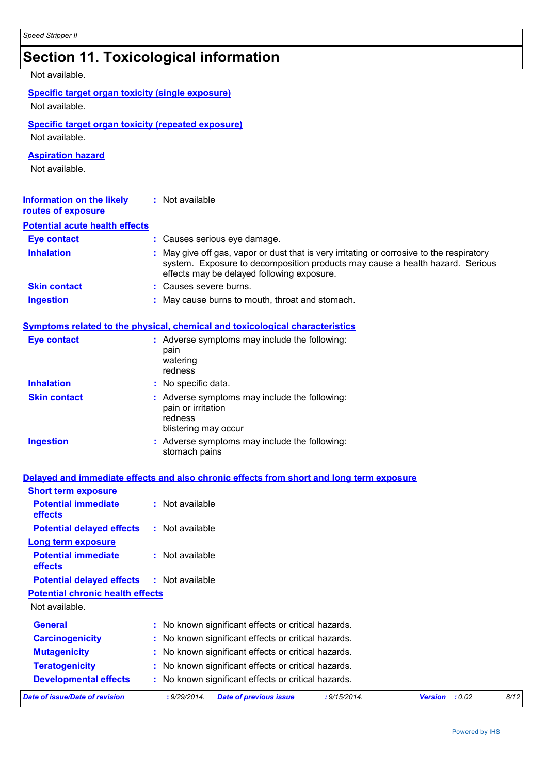**Ingestion**

|                                                                           | <b>Section 11. Toxicological information</b>                                                                                                                                                                           |
|---------------------------------------------------------------------------|------------------------------------------------------------------------------------------------------------------------------------------------------------------------------------------------------------------------|
| Not available.                                                            |                                                                                                                                                                                                                        |
| <b>Specific target organ toxicity (single exposure)</b><br>Not available. |                                                                                                                                                                                                                        |
| Not available.                                                            | <b>Specific target organ toxicity (repeated exposure)</b>                                                                                                                                                              |
| <b>Aspiration hazard</b><br>Not available.                                |                                                                                                                                                                                                                        |
| <b>Information on the likely</b><br>routes of exposure                    | : Not available                                                                                                                                                                                                        |
| <b>Potential acute health effects</b>                                     |                                                                                                                                                                                                                        |
| <b>Eye contact</b>                                                        | : Causes serious eye damage.                                                                                                                                                                                           |
| <b>Inhalation</b>                                                         | May give off gas, vapor or dust that is very irritating or corrosive to the respiratory<br>system. Exposure to decomposition products may cause a health hazard. Serious<br>effects may be delayed following exposure. |
| <b>Skin contact</b>                                                       | : Causes severe burns.                                                                                                                                                                                                 |
| <b>Ingestion</b>                                                          | May cause burns to mouth, throat and stomach.                                                                                                                                                                          |
|                                                                           | Symptoms related to the physical, chemical and toxicological characteristics                                                                                                                                           |
| <b>Eye contact</b>                                                        | : Adverse symptoms may include the following:<br>pain<br>watering<br>redness                                                                                                                                           |
| <b>Inhalation</b>                                                         | No specific data.                                                                                                                                                                                                      |
| <b>Skin contact</b>                                                       | : Adverse symptoms may include the following:<br>pain or irritation<br>redness<br>blistering may occur                                                                                                                 |

#### **Delayed and immediate effects and also chronic effects from short and long term exposure**

stomach pains

| Date of issue/Date of revision               | : 9/29/2014.<br>: 9/15/2014.<br><b>Date of previous issue</b> | Version : 0.02 | 8/12 |
|----------------------------------------------|---------------------------------------------------------------|----------------|------|
| <b>Developmental effects</b>                 | : No known significant effects or critical hazards.           |                |      |
| <b>Teratogenicity</b>                        | : No known significant effects or critical hazards.           |                |      |
| <b>Mutagenicity</b>                          | : No known significant effects or critical hazards.           |                |      |
| <b>Carcinogenicity</b>                       | : No known significant effects or critical hazards.           |                |      |
| <b>General</b>                               | : No known significant effects or critical hazards.           |                |      |
| Not available.                               |                                                               |                |      |
| <b>Potential chronic health effects</b>      |                                                               |                |      |
| <b>Potential delayed effects</b>             | : Not available                                               |                |      |
| <b>Potential immediate</b><br>effects        | $:$ Not available                                             |                |      |
| <b>Long term exposure</b>                    |                                                               |                |      |
| <b>Potential delayed effects</b>             | $:$ Not available                                             |                |      |
| <b>Potential immediate</b><br><b>effects</b> | $:$ Not available                                             |                |      |
| <b>Short term exposure</b>                   |                                                               |                |      |

Adverse symptoms may include the following: **:**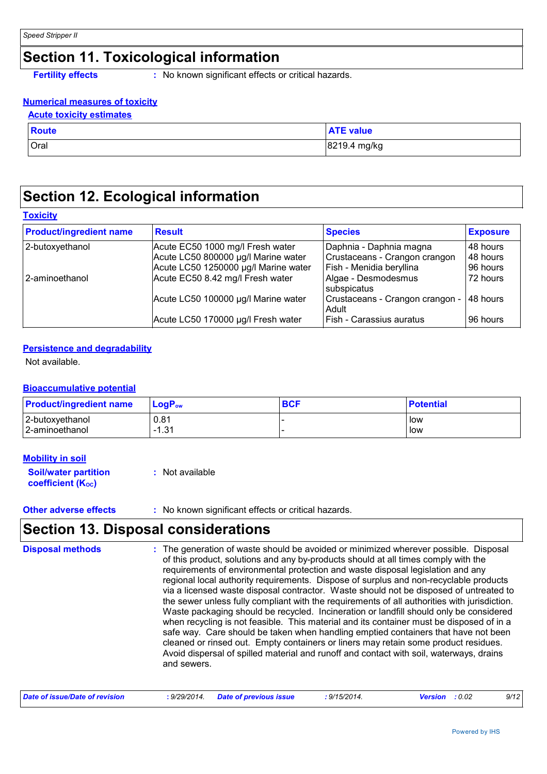### **Section 11. Toxicological information**

**Fertility effects :** No known significant effects or critical hazards.

#### **Numerical measures of toxicity**

| <b>Acute toxicity estimates</b> |                  |
|---------------------------------|------------------|
| <b>Route</b>                    | <b>ATE</b> value |
| Oral                            | 8219.4 mg/kg     |

### **Section 12. Ecological information**

#### **Toxicity**

| <b>Product/ingredient name</b> | <b>Result</b>                                                            | <b>Species</b>                                                 | <b>Exposure</b>      |
|--------------------------------|--------------------------------------------------------------------------|----------------------------------------------------------------|----------------------|
| 2-butoxyethanol                | Acute EC50 1000 mg/l Fresh water<br>Acute LC50 800000 µg/l Marine water  | Daphnia - Daphnia magna<br>Crustaceans - Crangon crangon       | 48 hours<br>48 hours |
| 2-aminoethanol                 | Acute LC50 1250000 µg/l Marine water<br>Acute EC50 8.42 mg/l Fresh water | Fish - Menidia beryllina<br>Algae - Desmodesmus<br>subspicatus | 96 hours<br>72 hours |
|                                | Acute LC50 100000 µg/l Marine water                                      | Crustaceans - Crangon crangon -<br>Adult                       | 48 hours             |
|                                | Acute LC50 170000 µg/l Fresh water                                       | <b>Fish - Carassius auratus</b>                                | 96 hours             |

#### **Persistence and degradability**

Not available.

#### **Bioaccumulative potential**

| <b>Product/ingredient name</b> | $LoaPow$ | <b>BCF</b> | <b>Potential</b> |
|--------------------------------|----------|------------|------------------|
| 2-butoxyethanol                | 0.81     |            | low              |
| 2-aminoethanol                 | $-1.31$  |            | low              |

#### **Mobility in soil**

| <b>Soil/water partition</b> | : Not available |
|-----------------------------|-----------------|
| <b>coefficient (Koc)</b>    |                 |

#### **Other adverse effects** : No known significant effects or critical hazards.

### **Section 13. Disposal considerations**

| <b>Disposal methods</b> | : The generation of waste should be avoided or minimized wherever possible. Disposal<br>of this product, solutions and any by-products should at all times comply with the<br>requirements of environmental protection and waste disposal legislation and any<br>regional local authority requirements. Dispose of surplus and non-recyclable products<br>via a licensed waste disposal contractor. Waste should not be disposed of untreated to<br>the sewer unless fully compliant with the requirements of all authorities with jurisdiction.<br>Waste packaging should be recycled. Incineration or landfill should only be considered<br>when recycling is not feasible. This material and its container must be disposed of in a<br>safe way. Care should be taken when handling emptied containers that have not been<br>cleaned or rinsed out. Empty containers or liners may retain some product residues.<br>Avoid dispersal of spilled material and runoff and contact with soil, waterways, drains<br>and sewers. |
|-------------------------|-------------------------------------------------------------------------------------------------------------------------------------------------------------------------------------------------------------------------------------------------------------------------------------------------------------------------------------------------------------------------------------------------------------------------------------------------------------------------------------------------------------------------------------------------------------------------------------------------------------------------------------------------------------------------------------------------------------------------------------------------------------------------------------------------------------------------------------------------------------------------------------------------------------------------------------------------------------------------------------------------------------------------------|
|-------------------------|-------------------------------------------------------------------------------------------------------------------------------------------------------------------------------------------------------------------------------------------------------------------------------------------------------------------------------------------------------------------------------------------------------------------------------------------------------------------------------------------------------------------------------------------------------------------------------------------------------------------------------------------------------------------------------------------------------------------------------------------------------------------------------------------------------------------------------------------------------------------------------------------------------------------------------------------------------------------------------------------------------------------------------|

| Date of issue/Date of revision | : 9/29/2014 Date of previous issue | : 9/15/2014. | <b>Version</b> : 0.02 | 9/12 |
|--------------------------------|------------------------------------|--------------|-----------------------|------|
|--------------------------------|------------------------------------|--------------|-----------------------|------|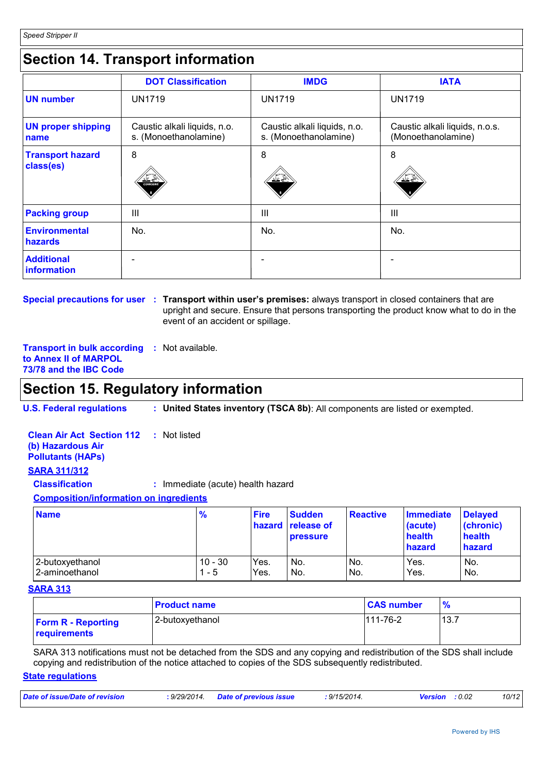### **Section 14. Transport information**

|                                      | <b>DOT Classification</b>                             | <b>IMDG</b>                                           | <b>IATA</b>                                          |
|--------------------------------------|-------------------------------------------------------|-------------------------------------------------------|------------------------------------------------------|
| <b>UN number</b>                     | <b>UN1719</b>                                         | <b>UN1719</b>                                         | <b>UN1719</b>                                        |
| <b>UN proper shipping</b><br>name    | Caustic alkali liquids, n.o.<br>s. (Monoethanolamine) | Caustic alkali liquids, n.o.<br>s. (Monoethanolamine) | Caustic alkali liquids, n.o.s.<br>(Monoethanolamine) |
| <b>Transport hazard</b><br>class(es) | 8<br><b>CORROSIVE</b>                                 | 8<br><u>≫ ≚'</u>                                      | 8<br>双气                                              |
| <b>Packing group</b>                 | $\mathbf{III}$                                        | Ш                                                     | $\mathbf{III}$                                       |
| <b>Environmental</b><br>hazards      | No.                                                   | No.                                                   | No.                                                  |
| <b>Additional</b><br>information     |                                                       |                                                       |                                                      |

**Special precautions for user : Transport within user's premises: always transport in closed containers that are** upright and secure. Ensure that persons transporting the product know what to do in the event of an accident or spillage.

**Transport in bulk according :** Not available. **to Annex II of MARPOL 73/78 and the IBC Code**

### **Section 15. Regulatory information**

**U.S. Federal regulations : United States inventory (TSCA 8b)**: All components are listed or exempted.

**Clean Air Act Section 112 (b) Hazardous Air Pollutants (HAPs) :** Not listed

#### **SARA 311/312**

**Classification :** Immediate (acute) health hazard

#### **Composition/information on ingredients**

| <b>Name</b>     | $\frac{9}{6}$ | <b>Fire</b> | <b>Sudden</b><br><b>hazard release of</b><br><b>pressure</b> | <b>Reactive</b> | <b>Immediate</b><br>(acute)<br>health<br>hazard | <b>Delaved</b><br>(chronic)<br>health<br>hazard |
|-----------------|---------------|-------------|--------------------------------------------------------------|-----------------|-------------------------------------------------|-------------------------------------------------|
| 2-butoxyethanol | $10 - 30$     | Yes.        | No.                                                          | IN <sub>o</sub> | Yes.                                            | No.                                             |
| 2-aminoethanol  | - 5           | Yes.        | No.                                                          | IN <sub>o</sub> | Yes.                                            | No.                                             |

#### **SARA 313**

|                                           | <b>Product name</b> | <b>CAS number</b> | %    |
|-------------------------------------------|---------------------|-------------------|------|
| <b>Form R - Reporting</b><br>requirements | 2-butoxyethanol     | 111-76-2          | 13.7 |

SARA 313 notifications must not be detached from the SDS and any copying and redistribution of the SDS shall include copying and redistribution of the notice attached to copies of the SDS subsequently redistributed.

#### **State regulations**

| Date of issue/Date of revision | : 9/29/2014. | <b>Date of previous issue</b> | : 9/15/2014. | <b>Version</b> : 0.02 | 10/12 |
|--------------------------------|--------------|-------------------------------|--------------|-----------------------|-------|
|                                |              |                               |              |                       |       |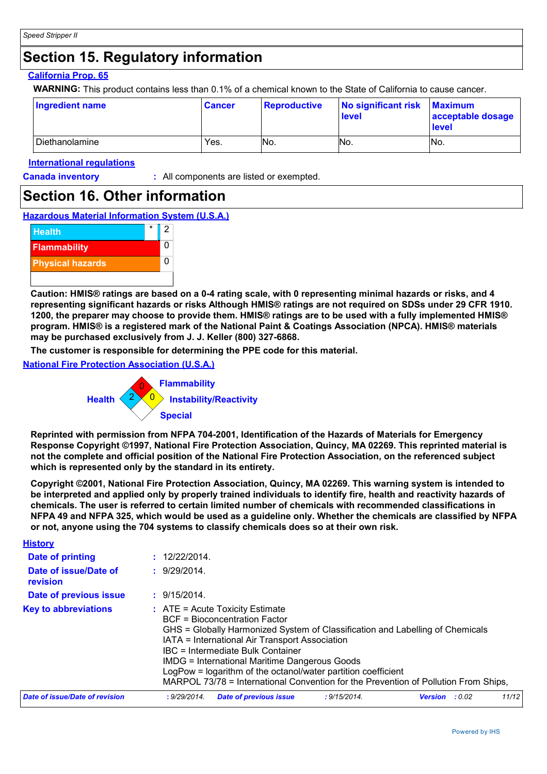### **Section 15. Regulatory information**

#### **California Prop. 65**

**WARNING:** This product contains less than 0.1% of a chemical known to the State of California to cause cancer.

| <b>Ingredient name</b>  | <b>Cancer</b> | <b>Reproductive</b> | No significant risk<br><b>level</b> | <b>Maximum</b><br>acceptable dosage<br><b>level</b> |
|-------------------------|---------------|---------------------|-------------------------------------|-----------------------------------------------------|
| <b>I</b> Diethanolamine | Yes.          | INo.                | No.                                 | No.                                                 |

#### **International regulations**

**History**

**Canada inventory :** All components are listed or exempted.

### **Section 16. Other information**

**Hazardous Material Information System (U.S.A.)**



**Caution: HMIS® ratings are based on a 0-4 rating scale, with 0 representing minimal hazards or risks, and 4 representing significant hazards or risks Although HMIS® ratings are not required on SDSs under 29 CFR 1910. 1200, the preparer may choose to provide them. HMIS® ratings are to be used with a fully implemented HMIS® program. HMIS® is a registered mark of the National Paint & Coatings Association (NPCA). HMIS® materials may be purchased exclusively from J. J. Keller (800) 327-6868.**

**The customer is responsible for determining the PPE code for this material.**

**National Fire Protection Association (U.S.A.)**



**Reprinted with permission from NFPA 704-2001, Identification of the Hazards of Materials for Emergency Response Copyright ©1997, National Fire Protection Association, Quincy, MA 02269. This reprinted material is not the complete and official position of the National Fire Protection Association, on the referenced subject which is represented only by the standard in its entirety.**

**Copyright ©2001, National Fire Protection Association, Quincy, MA 02269. This warning system is intended to be interpreted and applied only by properly trained individuals to identify fire, health and reactivity hazards of chemicals. The user is referred to certain limited number of chemicals with recommended classifications in NFPA 49 and NFPA 325, which would be used as a guideline only. Whether the chemicals are classified by NFPA or not, anyone using the 704 systems to classify chemicals does so at their own risk.**

| Date of printing                  | : 12/22/2014.                                                                                                                                                                                                                                                                                                                                                                                                                                                              |  |  |  |  |  |
|-----------------------------------|----------------------------------------------------------------------------------------------------------------------------------------------------------------------------------------------------------------------------------------------------------------------------------------------------------------------------------------------------------------------------------------------------------------------------------------------------------------------------|--|--|--|--|--|
| Date of issue/Date of<br>revision | : 9/29/2014.                                                                                                                                                                                                                                                                                                                                                                                                                                                               |  |  |  |  |  |
| Date of previous issue            | : 9/15/2014.                                                                                                                                                                                                                                                                                                                                                                                                                                                               |  |  |  |  |  |
| <b>Key to abbreviations</b>       | $\therefore$ ATE = Acute Toxicity Estimate<br><b>BCF</b> = Bioconcentration Factor<br>GHS = Globally Harmonized System of Classification and Labelling of Chemicals<br>IATA = International Air Transport Association<br>IBC = Intermediate Bulk Container<br><b>IMDG = International Maritime Dangerous Goods</b><br>LogPow = logarithm of the octanol/water partition coefficient<br>MARPOL 73/78 = International Convention for the Prevention of Pollution From Ships, |  |  |  |  |  |
| Date of issue/Date of revision    | 11/12<br>: 9/29/2014.<br><b>Date of previous issue</b><br>: 9/15/2014.<br>: 0.02<br><b>Version</b>                                                                                                                                                                                                                                                                                                                                                                         |  |  |  |  |  |